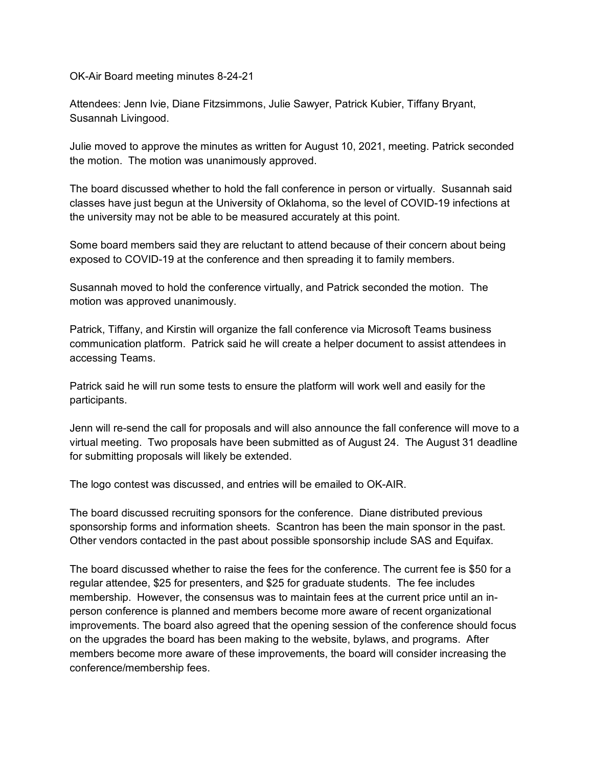OK-Air Board meeting minutes 8-24-21

Attendees: Jenn Ivie, Diane Fitzsimmons, Julie Sawyer, Patrick Kubier, Tiffany Bryant, Susannah Livingood.

Julie moved to approve the minutes as written for August 10, 2021, meeting. Patrick seconded the motion. The motion was unanimously approved.

The board discussed whether to hold the fall conference in person or virtually. Susannah said classes have just begun at the University of Oklahoma, so the level of COVID-19 infections at the university may not be able to be measured accurately at this point.

Some board members said they are reluctant to attend because of their concern about being exposed to COVID-19 at the conference and then spreading it to family members.

Susannah moved to hold the conference virtually, and Patrick seconded the motion. The motion was approved unanimously.

Patrick, Tiffany, and Kirstin will organize the fall conference via Microsoft Teams business communication platform. Patrick said he will create a helper document to assist attendees in accessing Teams.

Patrick said he will run some tests to ensure the platform will work well and easily for the participants.

Jenn will re-send the call for proposals and will also announce the fall conference will move to a virtual meeting. Two proposals have been submitted as of August 24. The August 31 deadline for submitting proposals will likely be extended.

The logo contest was discussed, and entries will be emailed to OK-AIR.

The board discussed recruiting sponsors for the conference. Diane distributed previous sponsorship forms and information sheets. Scantron has been the main sponsor in the past. Other vendors contacted in the past about possible sponsorship include SAS and Equifax.

The board discussed whether to raise the fees for the conference. The current fee is \$50 for a regular attendee, \$25 for presenters, and \$25 for graduate students. The fee includes membership. However, the consensus was to maintain fees at the current price until an inperson conference is planned and members become more aware of recent organizational improvements. The board also agreed that the opening session of the conference should focus on the upgrades the board has been making to the website, bylaws, and programs. After members become more aware of these improvements, the board will consider increasing the conference/membership fees.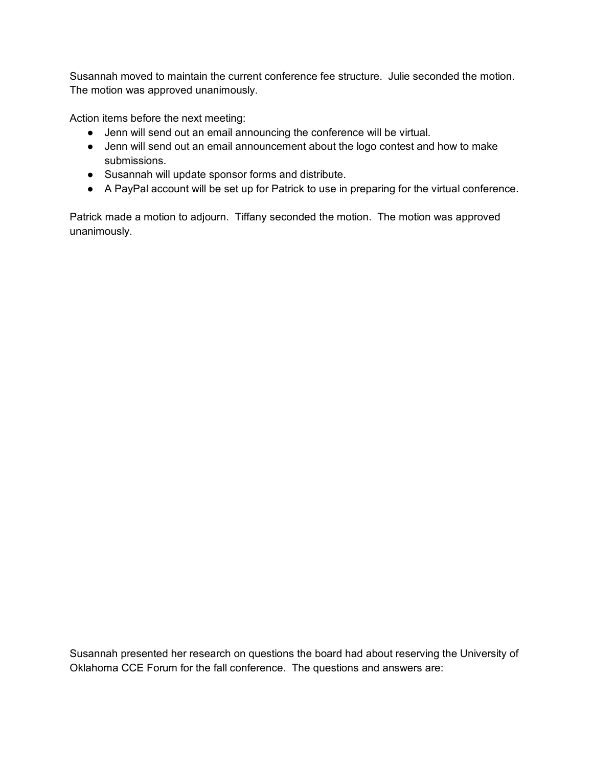Susannah moved to maintain the current conference fee structure. Julie seconded the motion. The motion was approved unanimously.

Action items before the next meeting:

- Jenn will send out an email announcing the conference will be virtual.
- Jenn will send out an email announcement about the logo contest and how to make submissions.
- Susannah will update sponsor forms and distribute.
- A PayPal account will be set up for Patrick to use in preparing for the virtual conference.

Patrick made a motion to adjourn. Tiffany seconded the motion. The motion was approved unanimously.

Susannah presented her research on questions the board had about reserving the University of Oklahoma CCE Forum for the fall conference. The questions and answers are: